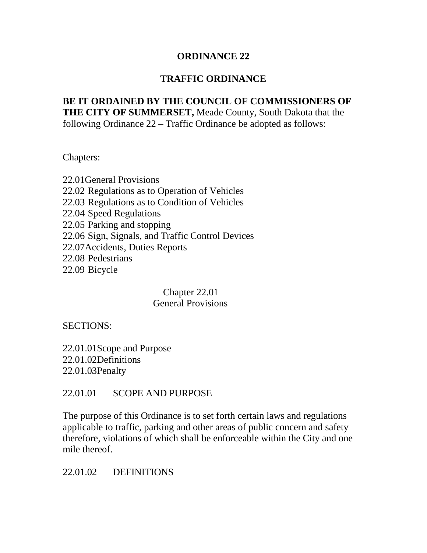#### **ORDINANCE 22**

#### **TRAFFIC ORDINANCE**

#### **BE IT ORDAINED BY THE COUNCIL OF COMMISSIONERS OF THE CITY OF SUMMERSET,** Meade County, South Dakota that the following Ordinance 22 – Traffic Ordinance be adopted as follows:

Chapters:

22.01General Provisions 22.02 Regulations as to Operation of Vehicles 22.03 Regulations as to Condition of Vehicles 22.04 Speed Regulations 22.05 Parking and stopping 22.06 Sign, Signals, and Traffic Control Devices 22.07Accidents, Duties Reports 22.08 Pedestrians 22.09 Bicycle

> Chapter 22.01 General Provisions

SECTIONS:

22.01.01Scope and Purpose 22.01.02Definitions 22.01.03Penalty

#### 22.01.01 SCOPE AND PURPOSE

The purpose of this Ordinance is to set forth certain laws and regulations applicable to traffic, parking and other areas of public concern and safety therefore, violations of which shall be enforceable within the City and one mile thereof.

#### 22.01.02 DEFINITIONS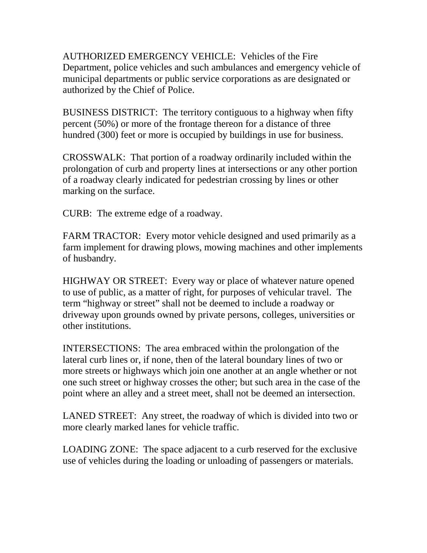AUTHORIZED EMERGENCY VEHICLE: Vehicles of the Fire Department, police vehicles and such ambulances and emergency vehicle of municipal departments or public service corporations as are designated or authorized by the Chief of Police.

BUSINESS DISTRICT: The territory contiguous to a highway when fifty percent (50%) or more of the frontage thereon for a distance of three hundred (300) feet or more is occupied by buildings in use for business.

CROSSWALK: That portion of a roadway ordinarily included within the prolongation of curb and property lines at intersections or any other portion of a roadway clearly indicated for pedestrian crossing by lines or other marking on the surface.

CURB: The extreme edge of a roadway.

FARM TRACTOR: Every motor vehicle designed and used primarily as a farm implement for drawing plows, mowing machines and other implements of husbandry.

HIGHWAY OR STREET: Every way or place of whatever nature opened to use of public, as a matter of right, for purposes of vehicular travel. The term "highway or street" shall not be deemed to include a roadway or driveway upon grounds owned by private persons, colleges, universities or other institutions.

INTERSECTIONS: The area embraced within the prolongation of the lateral curb lines or, if none, then of the lateral boundary lines of two or more streets or highways which join one another at an angle whether or not one such street or highway crosses the other; but such area in the case of the point where an alley and a street meet, shall not be deemed an intersection.

LANED STREET: Any street, the roadway of which is divided into two or more clearly marked lanes for vehicle traffic.

LOADING ZONE: The space adjacent to a curb reserved for the exclusive use of vehicles during the loading or unloading of passengers or materials.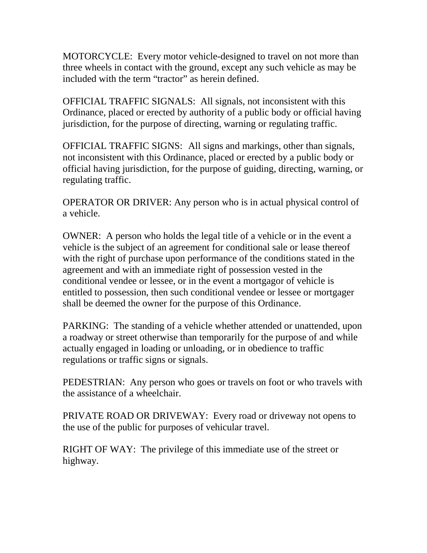MOTORCYCLE: Every motor vehicle-designed to travel on not more than three wheels in contact with the ground, except any such vehicle as may be included with the term "tractor" as herein defined.

OFFICIAL TRAFFIC SIGNALS: All signals, not inconsistent with this Ordinance, placed or erected by authority of a public body or official having jurisdiction, for the purpose of directing, warning or regulating traffic.

OFFICIAL TRAFFIC SIGNS: All signs and markings, other than signals, not inconsistent with this Ordinance, placed or erected by a public body or official having jurisdiction, for the purpose of guiding, directing, warning, or regulating traffic.

OPERATOR OR DRIVER: Any person who is in actual physical control of a vehicle.

OWNER: A person who holds the legal title of a vehicle or in the event a vehicle is the subject of an agreement for conditional sale or lease thereof with the right of purchase upon performance of the conditions stated in the agreement and with an immediate right of possession vested in the conditional vendee or lessee, or in the event a mortgagor of vehicle is entitled to possession, then such conditional vendee or lessee or mortgager shall be deemed the owner for the purpose of this Ordinance.

PARKING: The standing of a vehicle whether attended or unattended, upon a roadway or street otherwise than temporarily for the purpose of and while actually engaged in loading or unloading, or in obedience to traffic regulations or traffic signs or signals.

PEDESTRIAN: Any person who goes or travels on foot or who travels with the assistance of a wheelchair.

PRIVATE ROAD OR DRIVEWAY: Every road or driveway not opens to the use of the public for purposes of vehicular travel.

RIGHT OF WAY: The privilege of this immediate use of the street or highway.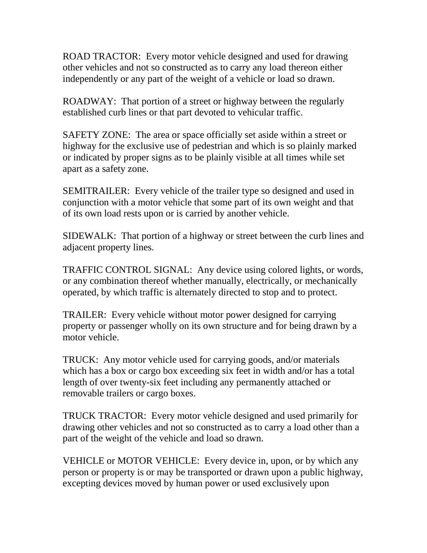ROAD TRACTOR: Every motor vehicle designed and used for drawing other vehicles and not so constructed as to carry any load thereon either independently or any part of the weight of a vehicle or load so drawn.

ROADWAY: That portion of a street or highway between the regularly established curb lines or that part devoted to vehicular traffic.

SAFETY ZONE: The area or space officially set aside within a street or highway for the exclusive use of pedestrian and which is so plainly marked or indicated by proper signs as to be plainly visible at all times while set apart as a safety zone.

SEMITRAILER: Every vehicle of the trailer type so designed and used in conjunction with a motor vehicle that some part of its own weight and that of its own load rests upon or is carried by another vehicle.

SIDEWALK: That portion of a highway or street between the curb lines and adjacent property lines.

TRAFFIC CONTROL SIGNAL: Any device using colored lights, or words, or any combination thereof whether manually, electrically, or mechanically operated, by which traffic is alternately directed to stop and to protect.

TRAILER: Every vehicle without motor power designed for carrying property or passenger wholly on its own structure and for being drawn by a motor vehicle.

TRUCK: Any motor vehicle used for carrying goods, and/or materials which has a box or cargo box exceeding six feet in width and/or has a total length of over twenty-six feet including any permanently attached or removable trailers or cargo boxes.

TRUCK TRACTOR: Every motor vehicle designed and used primarily for drawing other vehicles and not so constructed as to carry a load other than a part of the weight of the vehicle and load so drawn.

VEHICLE or MOTOR VEHICLE: Every device in, upon, or by which any person or property is or may be transported or drawn upon a public highway, excepting devices moved by human power or used exclusively upon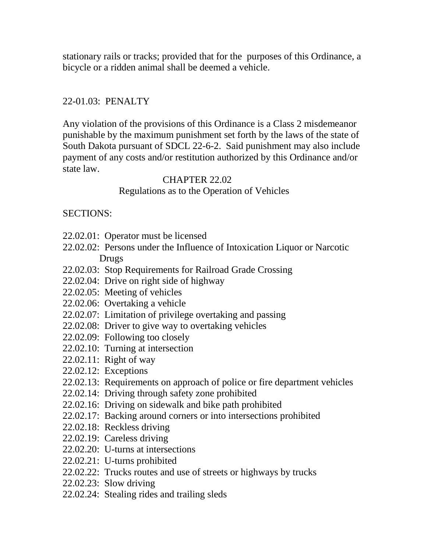stationary rails or tracks; provided that for the purposes of this Ordinance, a bicycle or a ridden animal shall be deemed a vehicle.

### 22-01.03: PENALTY

Any violation of the provisions of this Ordinance is a Class 2 misdemeanor punishable by the maximum punishment set forth by the laws of the state of South Dakota pursuant of SDCL 22-6-2. Said punishment may also include payment of any costs and/or restitution authorized by this Ordinance and/or state law.

#### CHAPTER 22.02

#### Regulations as to the Operation of Vehicles

#### SECTIONS:

- 22.02.01: Operator must be licensed
- 22.02.02: Persons under the Influence of Intoxication Liquor or Narcotic Drugs
- 22.02.03: Stop Requirements for Railroad Grade Crossing
- 22.02.04: Drive on right side of highway
- 22.02.05: Meeting of vehicles
- 22.02.06: Overtaking a vehicle
- 22.02.07: Limitation of privilege overtaking and passing
- 22.02.08: Driver to give way to overtaking vehicles
- 22.02.09: Following too closely
- 22.02.10: Turning at intersection
- 22.02.11: Right of way
- 22.02.12: Exceptions
- 22.02.13: Requirements on approach of police or fire department vehicles
- 22.02.14: Driving through safety zone prohibited
- 22.02.16: Driving on sidewalk and bike path prohibited
- 22.02.17: Backing around corners or into intersections prohibited
- 22.02.18: Reckless driving
- 22.02.19: Careless driving
- 22.02.20: U-turns at intersections
- 22.02.21: U-turns prohibited
- 22.02.22: Trucks routes and use of streets or highways by trucks
- 22.02.23: Slow driving
- 22.02.24: Stealing rides and trailing sleds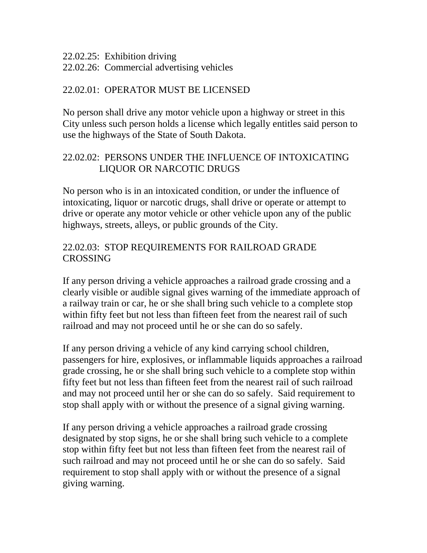22.02.25: Exhibition driving

22.02.26: Commercial advertising vehicles

#### 22.02.01: OPERATOR MUST BE LICENSED

No person shall drive any motor vehicle upon a highway or street in this City unless such person holds a license which legally entitles said person to use the highways of the State of South Dakota.

# 22.02.02: PERSONS UNDER THE INFLUENCE OF INTOXICATING LIQUOR OR NARCOTIC DRUGS

No person who is in an intoxicated condition, or under the influence of intoxicating, liquor or narcotic drugs, shall drive or operate or attempt to drive or operate any motor vehicle or other vehicle upon any of the public highways, streets, alleys, or public grounds of the City.

## 22.02.03: STOP REQUIREMENTS FOR RAILROAD GRADE CROSSING

If any person driving a vehicle approaches a railroad grade crossing and a clearly visible or audible signal gives warning of the immediate approach of a railway train or car, he or she shall bring such vehicle to a complete stop within fifty feet but not less than fifteen feet from the nearest rail of such railroad and may not proceed until he or she can do so safely.

If any person driving a vehicle of any kind carrying school children, passengers for hire, explosives, or inflammable liquids approaches a railroad grade crossing, he or she shall bring such vehicle to a complete stop within fifty feet but not less than fifteen feet from the nearest rail of such railroad and may not proceed until her or she can do so safely. Said requirement to stop shall apply with or without the presence of a signal giving warning.

If any person driving a vehicle approaches a railroad grade crossing designated by stop signs, he or she shall bring such vehicle to a complete stop within fifty feet but not less than fifteen feet from the nearest rail of such railroad and may not proceed until he or she can do so safely. Said requirement to stop shall apply with or without the presence of a signal giving warning.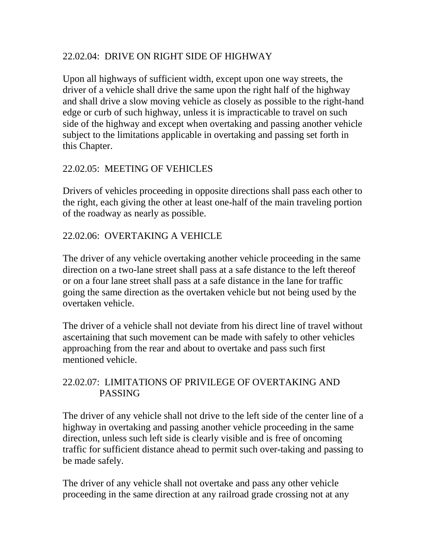# 22.02.04: DRIVE ON RIGHT SIDE OF HIGHWAY

Upon all highways of sufficient width, except upon one way streets, the driver of a vehicle shall drive the same upon the right half of the highway and shall drive a slow moving vehicle as closely as possible to the right-hand edge or curb of such highway, unless it is impracticable to travel on such side of the highway and except when overtaking and passing another vehicle subject to the limitations applicable in overtaking and passing set forth in this Chapter.

#### 22.02.05: MEETING OF VEHICLES

Drivers of vehicles proceeding in opposite directions shall pass each other to the right, each giving the other at least one-half of the main traveling portion of the roadway as nearly as possible.

#### 22.02.06: OVERTAKING A VEHICLE

The driver of any vehicle overtaking another vehicle proceeding in the same direction on a two-lane street shall pass at a safe distance to the left thereof or on a four lane street shall pass at a safe distance in the lane for traffic going the same direction as the overtaken vehicle but not being used by the overtaken vehicle.

The driver of a vehicle shall not deviate from his direct line of travel without ascertaining that such movement can be made with safely to other vehicles approaching from the rear and about to overtake and pass such first mentioned vehicle.

#### 22.02.07: LIMITATIONS OF PRIVILEGE OF OVERTAKING AND PASSING

The driver of any vehicle shall not drive to the left side of the center line of a highway in overtaking and passing another vehicle proceeding in the same direction, unless such left side is clearly visible and is free of oncoming traffic for sufficient distance ahead to permit such over-taking and passing to be made safely.

The driver of any vehicle shall not overtake and pass any other vehicle proceeding in the same direction at any railroad grade crossing not at any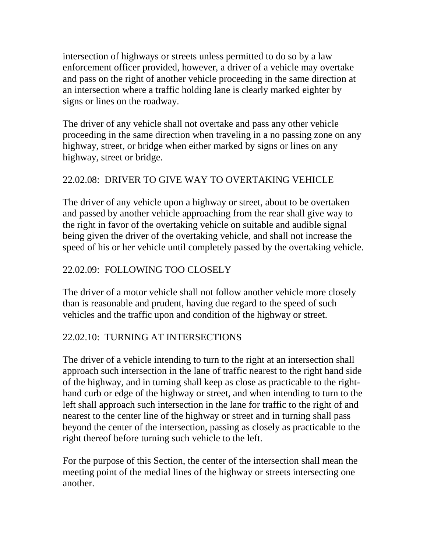intersection of highways or streets unless permitted to do so by a law enforcement officer provided, however, a driver of a vehicle may overtake and pass on the right of another vehicle proceeding in the same direction at an intersection where a traffic holding lane is clearly marked eighter by signs or lines on the roadway.

The driver of any vehicle shall not overtake and pass any other vehicle proceeding in the same direction when traveling in a no passing zone on any highway, street, or bridge when either marked by signs or lines on any highway, street or bridge.

# 22.02.08: DRIVER TO GIVE WAY TO OVERTAKING VEHICLE

The driver of any vehicle upon a highway or street, about to be overtaken and passed by another vehicle approaching from the rear shall give way to the right in favor of the overtaking vehicle on suitable and audible signal being given the driver of the overtaking vehicle, and shall not increase the speed of his or her vehicle until completely passed by the overtaking vehicle.

# 22.02.09: FOLLOWING TOO CLOSELY

The driver of a motor vehicle shall not follow another vehicle more closely than is reasonable and prudent, having due regard to the speed of such vehicles and the traffic upon and condition of the highway or street.

### 22.02.10: TURNING AT INTERSECTIONS

The driver of a vehicle intending to turn to the right at an intersection shall approach such intersection in the lane of traffic nearest to the right hand side of the highway, and in turning shall keep as close as practicable to the righthand curb or edge of the highway or street, and when intending to turn to the left shall approach such intersection in the lane for traffic to the right of and nearest to the center line of the highway or street and in turning shall pass beyond the center of the intersection, passing as closely as practicable to the right thereof before turning such vehicle to the left.

For the purpose of this Section, the center of the intersection shall mean the meeting point of the medial lines of the highway or streets intersecting one another.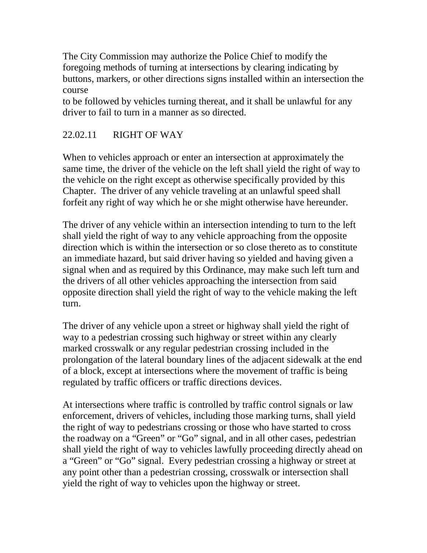The City Commission may authorize the Police Chief to modify the foregoing methods of turning at intersections by clearing indicating by buttons, markers, or other directions signs installed within an intersection the course

to be followed by vehicles turning thereat, and it shall be unlawful for any driver to fail to turn in a manner as so directed.

# 22.02.11 RIGHT OF WAY

When to vehicles approach or enter an intersection at approximately the same time, the driver of the vehicle on the left shall yield the right of way to the vehicle on the right except as otherwise specifically provided by this Chapter. The driver of any vehicle traveling at an unlawful speed shall forfeit any right of way which he or she might otherwise have hereunder.

The driver of any vehicle within an intersection intending to turn to the left shall yield the right of way to any vehicle approaching from the opposite direction which is within the intersection or so close thereto as to constitute an immediate hazard, but said driver having so yielded and having given a signal when and as required by this Ordinance, may make such left turn and the drivers of all other vehicles approaching the intersection from said opposite direction shall yield the right of way to the vehicle making the left turn.

The driver of any vehicle upon a street or highway shall yield the right of way to a pedestrian crossing such highway or street within any clearly marked crosswalk or any regular pedestrian crossing included in the prolongation of the lateral boundary lines of the adjacent sidewalk at the end of a block, except at intersections where the movement of traffic is being regulated by traffic officers or traffic directions devices.

At intersections where traffic is controlled by traffic control signals or law enforcement, drivers of vehicles, including those marking turns, shall yield the right of way to pedestrians crossing or those who have started to cross the roadway on a "Green" or "Go" signal, and in all other cases, pedestrian shall yield the right of way to vehicles lawfully proceeding directly ahead on a "Green" or "Go" signal. Every pedestrian crossing a highway or street at any point other than a pedestrian crossing, crosswalk or intersection shall yield the right of way to vehicles upon the highway or street.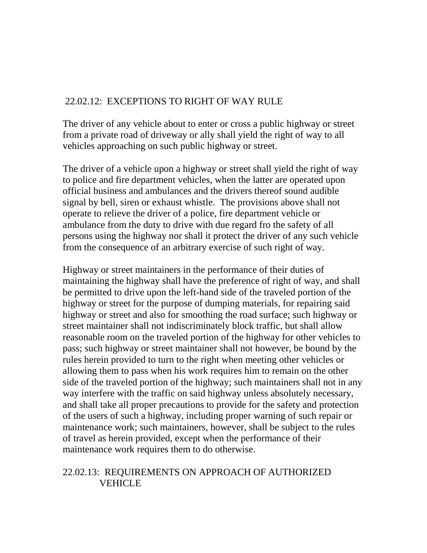## 22.02.12: EXCEPTIONS TO RIGHT OF WAY RULE

The driver of any vehicle about to enter or cross a public highway or street from a private road of driveway or ally shall yield the right of way to all vehicles approaching on such public highway or street.

The driver of a vehicle upon a highway or street shall yield the right of way to police and fire department vehicles, when the latter are operated upon official business and ambulances and the drivers thereof sound audible signal by bell, siren or exhaust whistle. The provisions above shall not operate to relieve the driver of a police, fire department vehicle or ambulance from the duty to drive with due regard fro the safety of all persons using the highway nor shall it protect the driver of any such vehicle from the consequence of an arbitrary exercise of such right of way.

Highway or street maintainers in the performance of their duties of maintaining the highway shall have the preference of right of way, and shall be permitted to drive upon the left-hand side of the traveled portion of the highway or street for the purpose of dumping materials, for repairing said highway or street and also for smoothing the road surface; such highway or street maintainer shall not indiscriminately block traffic, but shall allow reasonable room on the traveled portion of the highway for other vehicles to pass; such highway or street maintainer shall not however, be bound by the rules herein provided to turn to the right when meeting other vehicles or allowing them to pass when his work requires him to remain on the other side of the traveled portion of the highway; such maintainers shall not in any way interfere with the traffic on said highway unless absolutely necessary, and shall take all proper precautions to provide for the safety and protection of the users of such a highway, including proper warning of such repair or maintenance work; such maintainers, however, shall be subject to the rules of travel as herein provided, except when the performance of their maintenance work requires them to do otherwise.

#### 22.02.13: REQUIREMENTS ON APPROACH OF AUTHORIZED VEHICLE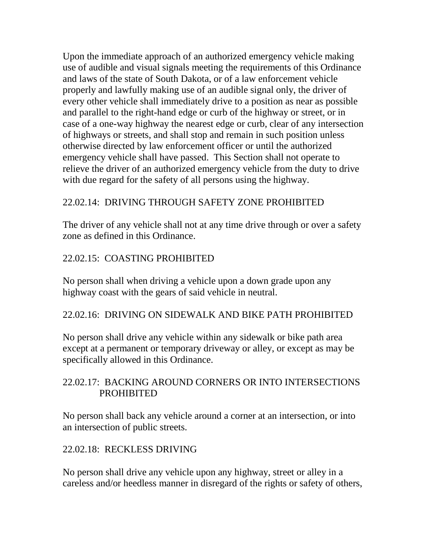Upon the immediate approach of an authorized emergency vehicle making use of audible and visual signals meeting the requirements of this Ordinance and laws of the state of South Dakota, or of a law enforcement vehicle properly and lawfully making use of an audible signal only, the driver of every other vehicle shall immediately drive to a position as near as possible and parallel to the right-hand edge or curb of the highway or street, or in case of a one-way highway the nearest edge or curb, clear of any intersection of highways or streets, and shall stop and remain in such position unless otherwise directed by law enforcement officer or until the authorized emergency vehicle shall have passed. This Section shall not operate to relieve the driver of an authorized emergency vehicle from the duty to drive with due regard for the safety of all persons using the highway.

# 22.02.14: DRIVING THROUGH SAFETY ZONE PROHIBITED

The driver of any vehicle shall not at any time drive through or over a safety zone as defined in this Ordinance.

# 22.02.15: COASTING PROHIBITED

No person shall when driving a vehicle upon a down grade upon any highway coast with the gears of said vehicle in neutral.

### 22.02.16: DRIVING ON SIDEWALK AND BIKE PATH PROHIBITED

No person shall drive any vehicle within any sidewalk or bike path area except at a permanent or temporary driveway or alley, or except as may be specifically allowed in this Ordinance.

### 22.02.17: BACKING AROUND CORNERS OR INTO INTERSECTIONS PROHIBITED

No person shall back any vehicle around a corner at an intersection, or into an intersection of public streets.

### 22.02.18: RECKLESS DRIVING

No person shall drive any vehicle upon any highway, street or alley in a careless and/or heedless manner in disregard of the rights or safety of others,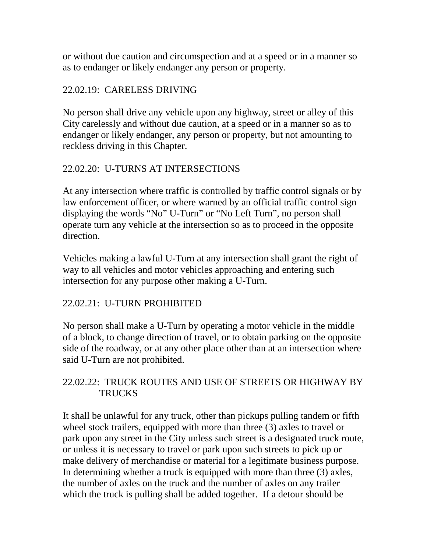or without due caution and circumspection and at a speed or in a manner so as to endanger or likely endanger any person or property.

## 22.02.19: CARELESS DRIVING

No person shall drive any vehicle upon any highway, street or alley of this City carelessly and without due caution, at a speed or in a manner so as to endanger or likely endanger, any person or property, but not amounting to reckless driving in this Chapter.

# 22.02.20: U-TURNS AT INTERSECTIONS

At any intersection where traffic is controlled by traffic control signals or by law enforcement officer, or where warned by an official traffic control sign displaying the words "No" U-Turn" or "No Left Turn", no person shall operate turn any vehicle at the intersection so as to proceed in the opposite direction.

Vehicles making a lawful U-Turn at any intersection shall grant the right of way to all vehicles and motor vehicles approaching and entering such intersection for any purpose other making a U-Turn.

### 22.02.21: U-TURN PROHIBITED

No person shall make a U-Turn by operating a motor vehicle in the middle of a block, to change direction of travel, or to obtain parking on the opposite side of the roadway, or at any other place other than at an intersection where said U-Turn are not prohibited.

### 22.02.22: TRUCK ROUTES AND USE OF STREETS OR HIGHWAY BY **TRUCKS**

It shall be unlawful for any truck, other than pickups pulling tandem or fifth wheel stock trailers, equipped with more than three (3) axles to travel or park upon any street in the City unless such street is a designated truck route, or unless it is necessary to travel or park upon such streets to pick up or make delivery of merchandise or material for a legitimate business purpose. In determining whether a truck is equipped with more than three (3) axles, the number of axles on the truck and the number of axles on any trailer which the truck is pulling shall be added together. If a detour should be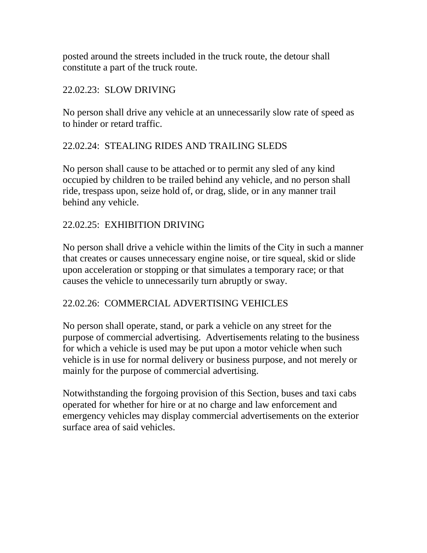posted around the streets included in the truck route, the detour shall constitute a part of the truck route.

#### 22.02.23: SLOW DRIVING

No person shall drive any vehicle at an unnecessarily slow rate of speed as to hinder or retard traffic.

### 22.02.24: STEALING RIDES AND TRAILING SLEDS

No person shall cause to be attached or to permit any sled of any kind occupied by children to be trailed behind any vehicle, and no person shall ride, trespass upon, seize hold of, or drag, slide, or in any manner trail behind any vehicle.

### 22.02.25: EXHIBITION DRIVING

No person shall drive a vehicle within the limits of the City in such a manner that creates or causes unnecessary engine noise, or tire squeal, skid or slide upon acceleration or stopping or that simulates a temporary race; or that causes the vehicle to unnecessarily turn abruptly or sway.

#### 22.02.26: COMMERCIAL ADVERTISING VEHICLES

No person shall operate, stand, or park a vehicle on any street for the purpose of commercial advertising. Advertisements relating to the business for which a vehicle is used may be put upon a motor vehicle when such vehicle is in use for normal delivery or business purpose, and not merely or mainly for the purpose of commercial advertising.

Notwithstanding the forgoing provision of this Section, buses and taxi cabs operated for whether for hire or at no charge and law enforcement and emergency vehicles may display commercial advertisements on the exterior surface area of said vehicles.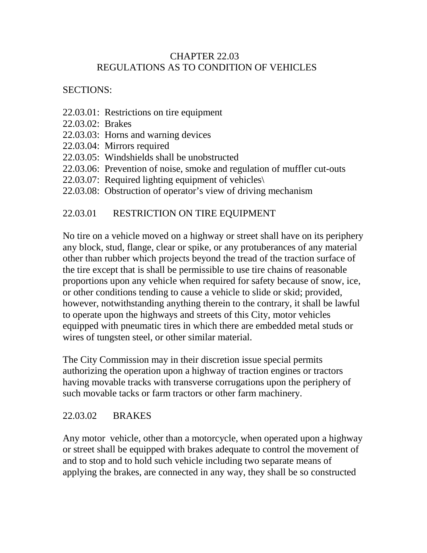#### CHAPTER 22.03 REGULATIONS AS TO CONDITION OF VEHICLES

### SECTIONS:

- 22.03.01: Restrictions on tire equipment
- 22.03.02: Brakes
- 22.03.03: Horns and warning devices
- 22.03.04: Mirrors required
- 22.03.05: Windshields shall be unobstructed
- 22.03.06: Prevention of noise, smoke and regulation of muffler cut-outs
- 22.03.07: Required lighting equipment of vehicles\
- 22.03.08: Obstruction of operator's view of driving mechanism

# 22.03.01 RESTRICTION ON TIRE EQUIPMENT

No tire on a vehicle moved on a highway or street shall have on its periphery any block, stud, flange, clear or spike, or any protuberances of any material other than rubber which projects beyond the tread of the traction surface of the tire except that is shall be permissible to use tire chains of reasonable proportions upon any vehicle when required for safety because of snow, ice, or other conditions tending to cause a vehicle to slide or skid; provided, however, notwithstanding anything therein to the contrary, it shall be lawful to operate upon the highways and streets of this City, motor vehicles equipped with pneumatic tires in which there are embedded metal studs or wires of tungsten steel, or other similar material.

The City Commission may in their discretion issue special permits authorizing the operation upon a highway of traction engines or tractors having movable tracks with transverse corrugations upon the periphery of such movable tacks or farm tractors or other farm machinery.

### 22.03.02 BRAKES

Any motor vehicle, other than a motorcycle, when operated upon a highway or street shall be equipped with brakes adequate to control the movement of and to stop and to hold such vehicle including two separate means of applying the brakes, are connected in any way, they shall be so constructed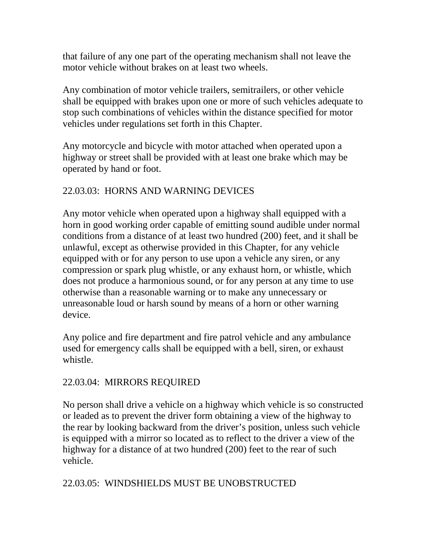that failure of any one part of the operating mechanism shall not leave the motor vehicle without brakes on at least two wheels.

Any combination of motor vehicle trailers, semitrailers, or other vehicle shall be equipped with brakes upon one or more of such vehicles adequate to stop such combinations of vehicles within the distance specified for motor vehicles under regulations set forth in this Chapter.

Any motorcycle and bicycle with motor attached when operated upon a highway or street shall be provided with at least one brake which may be operated by hand or foot.

# 22.03.03: HORNS AND WARNING DEVICES

Any motor vehicle when operated upon a highway shall equipped with a horn in good working order capable of emitting sound audible under normal conditions from a distance of at least two hundred (200) feet, and it shall be unlawful, except as otherwise provided in this Chapter, for any vehicle equipped with or for any person to use upon a vehicle any siren, or any compression or spark plug whistle, or any exhaust horn, or whistle, which does not produce a harmonious sound, or for any person at any time to use otherwise than a reasonable warning or to make any unnecessary or unreasonable loud or harsh sound by means of a horn or other warning device.

Any police and fire department and fire patrol vehicle and any ambulance used for emergency calls shall be equipped with a bell, siren, or exhaust whistle.

### 22.03.04: MIRRORS REQUIRED

No person shall drive a vehicle on a highway which vehicle is so constructed or leaded as to prevent the driver form obtaining a view of the highway to the rear by looking backward from the driver's position, unless such vehicle is equipped with a mirror so located as to reflect to the driver a view of the highway for a distance of at two hundred (200) feet to the rear of such vehicle.

### 22.03.05: WINDSHIELDS MUST BE UNOBSTRUCTED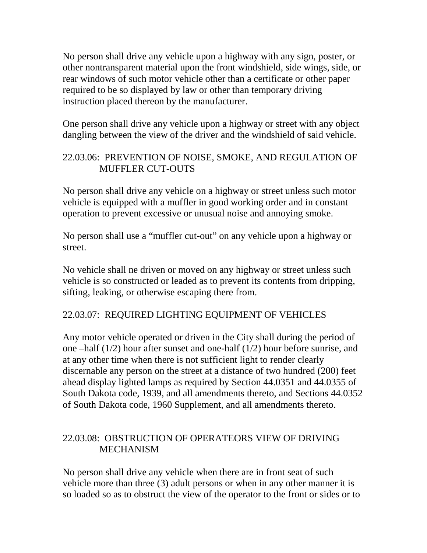No person shall drive any vehicle upon a highway with any sign, poster, or other nontransparent material upon the front windshield, side wings, side, or rear windows of such motor vehicle other than a certificate or other paper required to be so displayed by law or other than temporary driving instruction placed thereon by the manufacturer.

One person shall drive any vehicle upon a highway or street with any object dangling between the view of the driver and the windshield of said vehicle.

### 22.03.06: PREVENTION OF NOISE, SMOKE, AND REGULATION OF MUFFLER CUT-OUTS

No person shall drive any vehicle on a highway or street unless such motor vehicle is equipped with a muffler in good working order and in constant operation to prevent excessive or unusual noise and annoying smoke.

No person shall use a "muffler cut-out" on any vehicle upon a highway or street.

No vehicle shall ne driven or moved on any highway or street unless such vehicle is so constructed or leaded as to prevent its contents from dripping, sifting, leaking, or otherwise escaping there from.

#### 22.03.07: REQUIRED LIGHTING EQUIPMENT OF VEHICLES

Any motor vehicle operated or driven in the City shall during the period of one –half (1/2) hour after sunset and one-half (1/2) hour before sunrise, and at any other time when there is not sufficient light to render clearly discernable any person on the street at a distance of two hundred (200) feet ahead display lighted lamps as required by Section 44.0351 and 44.0355 of South Dakota code, 1939, and all amendments thereto, and Sections 44.0352 of South Dakota code, 1960 Supplement, and all amendments thereto.

#### 22.03.08: OBSTRUCTION OF OPERATEORS VIEW OF DRIVING MECHANISM

No person shall drive any vehicle when there are in front seat of such vehicle more than three (3) adult persons or when in any other manner it is so loaded so as to obstruct the view of the operator to the front or sides or to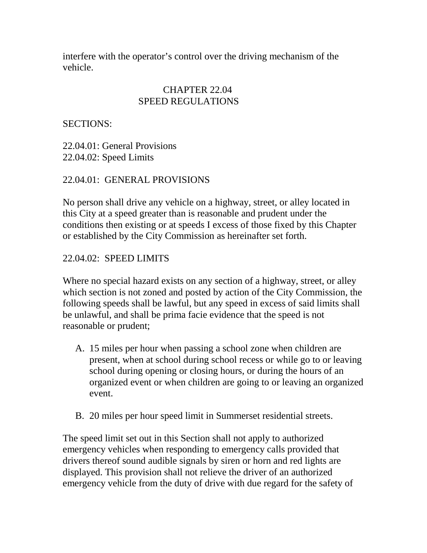interfere with the operator's control over the driving mechanism of the vehicle.

#### CHAPTER 22.04 SPEED REGULATIONS

SECTIONS:

22.04.01: General Provisions 22.04.02: Speed Limits

### 22.04.01: GENERAL PROVISIONS

No person shall drive any vehicle on a highway, street, or alley located in this City at a speed greater than is reasonable and prudent under the conditions then existing or at speeds I excess of those fixed by this Chapter or established by the City Commission as hereinafter set forth.

#### 22.04.02: SPEED LIMITS

Where no special hazard exists on any section of a highway, street, or alley which section is not zoned and posted by action of the City Commission, the following speeds shall be lawful, but any speed in excess of said limits shall be unlawful, and shall be prima facie evidence that the speed is not reasonable or prudent;

- A. 15 miles per hour when passing a school zone when children are present, when at school during school recess or while go to or leaving school during opening or closing hours, or during the hours of an organized event or when children are going to or leaving an organized event.
- B. 20 miles per hour speed limit in Summerset residential streets.

The speed limit set out in this Section shall not apply to authorized emergency vehicles when responding to emergency calls provided that drivers thereof sound audible signals by siren or horn and red lights are displayed. This provision shall not relieve the driver of an authorized emergency vehicle from the duty of drive with due regard for the safety of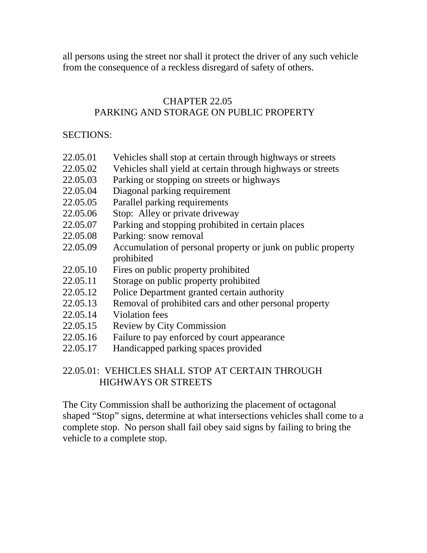all persons using the street nor shall it protect the driver of any such vehicle from the consequence of a reckless disregard of safety of others.

#### CHAPTER 22.05 PARKING AND STORAGE ON PUBLIC PROPERTY

#### SECTIONS:

- 22.05.01 Vehicles shall stop at certain through highways or streets
- 22.05.02 Vehicles shall yield at certain through highways or streets
- 22.05.03 Parking or stopping on streets or highways
- 22.05.04 Diagonal parking requirement
- 22.05.05 Parallel parking requirements
- 22.05.06 Stop: Alley or private driveway
- 22.05.07 Parking and stopping prohibited in certain places
- 22.05.08 Parking: snow removal
- 22.05.09 Accumulation of personal property or junk on public property prohibited
- 22.05.10 Fires on public property prohibited
- 22.05.11 Storage on public property prohibited
- 22.05.12 Police Department granted certain authority
- 22.05.13 Removal of prohibited cars and other personal property
- 22.05.14 Violation fees
- 22.05.15 Review by City Commission
- 22.05.16 Failure to pay enforced by court appearance
- 22.05.17 Handicapped parking spaces provided

# 22.05.01: VEHICLES SHALL STOP AT CERTAIN THROUGH HIGHWAYS OR STREETS

The City Commission shall be authorizing the placement of octagonal shaped "Stop" signs, determine at what intersections vehicles shall come to a complete stop. No person shall fail obey said signs by failing to bring the vehicle to a complete stop.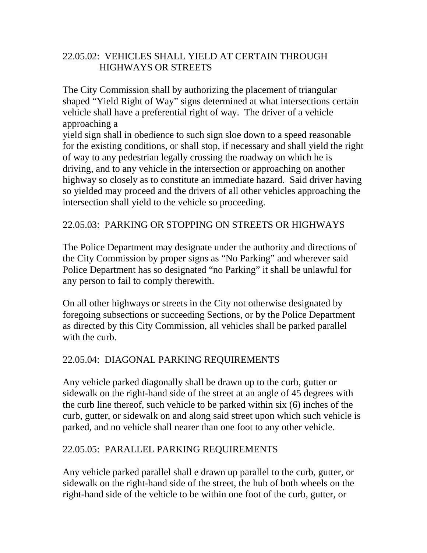### 22.05.02: VEHICLES SHALL YIELD AT CERTAIN THROUGH HIGHWAYS OR STREETS

The City Commission shall by authorizing the placement of triangular shaped "Yield Right of Way" signs determined at what intersections certain vehicle shall have a preferential right of way. The driver of a vehicle approaching a

yield sign shall in obedience to such sign sloe down to a speed reasonable for the existing conditions, or shall stop, if necessary and shall yield the right of way to any pedestrian legally crossing the roadway on which he is driving, and to any vehicle in the intersection or approaching on another highway so closely as to constitute an immediate hazard. Said driver having so yielded may proceed and the drivers of all other vehicles approaching the intersection shall yield to the vehicle so proceeding.

### 22.05.03: PARKING OR STOPPING ON STREETS OR HIGHWAYS

The Police Department may designate under the authority and directions of the City Commission by proper signs as "No Parking" and wherever said Police Department has so designated "no Parking" it shall be unlawful for any person to fail to comply therewith.

On all other highways or streets in the City not otherwise designated by foregoing subsections or succeeding Sections, or by the Police Department as directed by this City Commission, all vehicles shall be parked parallel with the curb.

### 22.05.04: DIAGONAL PARKING REQUIREMENTS

Any vehicle parked diagonally shall be drawn up to the curb, gutter or sidewalk on the right-hand side of the street at an angle of 45 degrees with the curb line thereof, such vehicle to be parked within six (6) inches of the curb, gutter, or sidewalk on and along said street upon which such vehicle is parked, and no vehicle shall nearer than one foot to any other vehicle.

#### 22.05.05: PARALLEL PARKING REQUIREMENTS

Any vehicle parked parallel shall e drawn up parallel to the curb, gutter, or sidewalk on the right-hand side of the street, the hub of both wheels on the right-hand side of the vehicle to be within one foot of the curb, gutter, or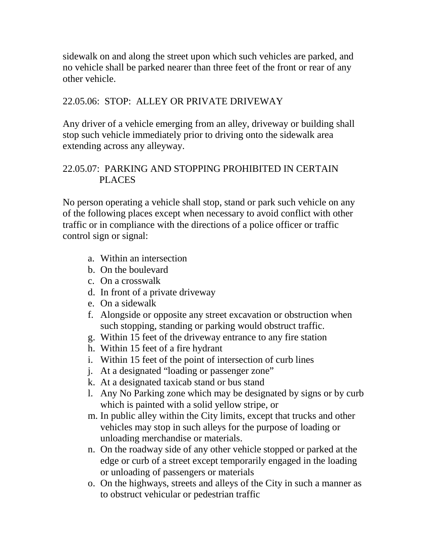sidewalk on and along the street upon which such vehicles are parked, and no vehicle shall be parked nearer than three feet of the front or rear of any other vehicle.

### 22.05.06: STOP: ALLEY OR PRIVATE DRIVEWAY

Any driver of a vehicle emerging from an alley, driveway or building shall stop such vehicle immediately prior to driving onto the sidewalk area extending across any alleyway.

## 22.05.07: PARKING AND STOPPING PROHIBITED IN CERTAIN PLACES

No person operating a vehicle shall stop, stand or park such vehicle on any of the following places except when necessary to avoid conflict with other traffic or in compliance with the directions of a police officer or traffic control sign or signal:

- a. Within an intersection
- b. On the boulevard
- c. On a crosswalk
- d. In front of a private driveway
- e. On a sidewalk
- f. Alongside or opposite any street excavation or obstruction when such stopping, standing or parking would obstruct traffic.
- g. Within 15 feet of the driveway entrance to any fire station
- h. Within 15 feet of a fire hydrant
- i. Within 15 feet of the point of intersection of curb lines
- j. At a designated "loading or passenger zone"
- k. At a designated taxicab stand or bus stand
- l. Any No Parking zone which may be designated by signs or by curb which is painted with a solid yellow stripe, or
- m. In public alley within the City limits, except that trucks and other vehicles may stop in such alleys for the purpose of loading or unloading merchandise or materials.
- n. On the roadway side of any other vehicle stopped or parked at the edge or curb of a street except temporarily engaged in the loading or unloading of passengers or materials
- o. On the highways, streets and alleys of the City in such a manner as to obstruct vehicular or pedestrian traffic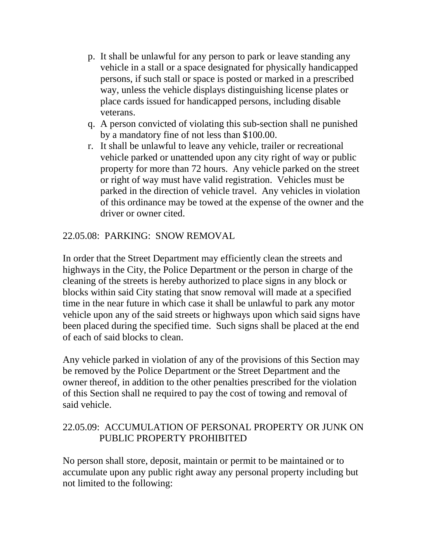- p. It shall be unlawful for any person to park or leave standing any vehicle in a stall or a space designated for physically handicapped persons, if such stall or space is posted or marked in a prescribed way, unless the vehicle displays distinguishing license plates or place cards issued for handicapped persons, including disable veterans.
- q. A person convicted of violating this sub-section shall ne punished by a mandatory fine of not less than \$100.00.
- r. It shall be unlawful to leave any vehicle, trailer or recreational vehicle parked or unattended upon any city right of way or public property for more than 72 hours. Any vehicle parked on the street or right of way must have valid registration. Vehicles must be parked in the direction of vehicle travel. Any vehicles in violation of this ordinance may be towed at the expense of the owner and the driver or owner cited.

### 22.05.08: PARKING: SNOW REMOVAL

In order that the Street Department may efficiently clean the streets and highways in the City, the Police Department or the person in charge of the cleaning of the streets is hereby authorized to place signs in any block or blocks within said City stating that snow removal will made at a specified time in the near future in which case it shall be unlawful to park any motor vehicle upon any of the said streets or highways upon which said signs have been placed during the specified time. Such signs shall be placed at the end of each of said blocks to clean.

Any vehicle parked in violation of any of the provisions of this Section may be removed by the Police Department or the Street Department and the owner thereof, in addition to the other penalties prescribed for the violation of this Section shall ne required to pay the cost of towing and removal of said vehicle.

#### 22.05.09: ACCUMULATION OF PERSONAL PROPERTY OR JUNK ON PUBLIC PROPERTY PROHIBITED

No person shall store, deposit, maintain or permit to be maintained or to accumulate upon any public right away any personal property including but not limited to the following: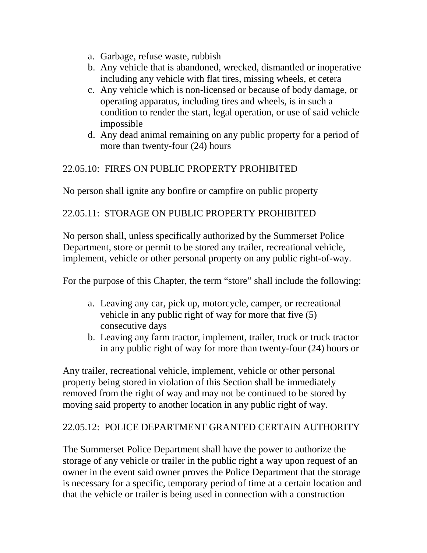- a. Garbage, refuse waste, rubbish
- b. Any vehicle that is abandoned, wrecked, dismantled or inoperative including any vehicle with flat tires, missing wheels, et cetera
- c. Any vehicle which is non-licensed or because of body damage, or operating apparatus, including tires and wheels, is in such a condition to render the start, legal operation, or use of said vehicle impossible
- d. Any dead animal remaining on any public property for a period of more than twenty-four (24) hours

# 22.05.10: FIRES ON PUBLIC PROPERTY PROHIBITED

No person shall ignite any bonfire or campfire on public property

# 22.05.11: STORAGE ON PUBLIC PROPERTY PROHIBITED

No person shall, unless specifically authorized by the Summerset Police Department, store or permit to be stored any trailer, recreational vehicle, implement, vehicle or other personal property on any public right-of-way.

For the purpose of this Chapter, the term "store" shall include the following:

- a. Leaving any car, pick up, motorcycle, camper, or recreational vehicle in any public right of way for more that five (5) consecutive days
- b. Leaving any farm tractor, implement, trailer, truck or truck tractor in any public right of way for more than twenty-four (24) hours or

Any trailer, recreational vehicle, implement, vehicle or other personal property being stored in violation of this Section shall be immediately removed from the right of way and may not be continued to be stored by moving said property to another location in any public right of way.

### 22.05.12: POLICE DEPARTMENT GRANTED CERTAIN AUTHORITY

The Summerset Police Department shall have the power to authorize the storage of any vehicle or trailer in the public right a way upon request of an owner in the event said owner proves the Police Department that the storage is necessary for a specific, temporary period of time at a certain location and that the vehicle or trailer is being used in connection with a construction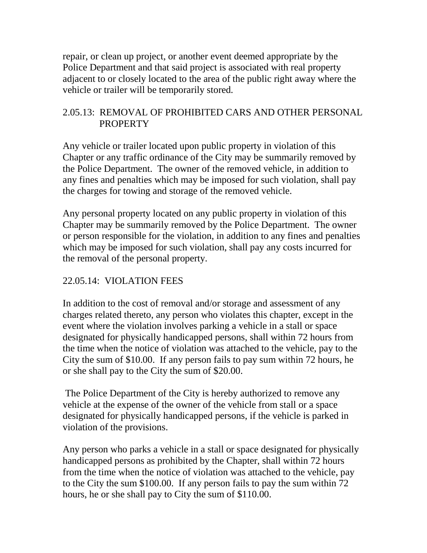repair, or clean up project, or another event deemed appropriate by the Police Department and that said project is associated with real property adjacent to or closely located to the area of the public right away where the vehicle or trailer will be temporarily stored.

### 2.05.13: REMOVAL OF PROHIBITED CARS AND OTHER PERSONAL **PROPERTY**

Any vehicle or trailer located upon public property in violation of this Chapter or any traffic ordinance of the City may be summarily removed by the Police Department. The owner of the removed vehicle, in addition to any fines and penalties which may be imposed for such violation, shall pay the charges for towing and storage of the removed vehicle.

Any personal property located on any public property in violation of this Chapter may be summarily removed by the Police Department. The owner or person responsible for the violation, in addition to any fines and penalties which may be imposed for such violation, shall pay any costs incurred for the removal of the personal property.

## 22.05.14: VIOLATION FEES

In addition to the cost of removal and/or storage and assessment of any charges related thereto, any person who violates this chapter, except in the event where the violation involves parking a vehicle in a stall or space designated for physically handicapped persons, shall within 72 hours from the time when the notice of violation was attached to the vehicle, pay to the City the sum of \$10.00. If any person fails to pay sum within 72 hours, he or she shall pay to the City the sum of \$20.00.

The Police Department of the City is hereby authorized to remove any vehicle at the expense of the owner of the vehicle from stall or a space designated for physically handicapped persons, if the vehicle is parked in violation of the provisions.

Any person who parks a vehicle in a stall or space designated for physically handicapped persons as prohibited by the Chapter, shall within 72 hours from the time when the notice of violation was attached to the vehicle, pay to the City the sum \$100.00. If any person fails to pay the sum within 72 hours, he or she shall pay to City the sum of \$110.00.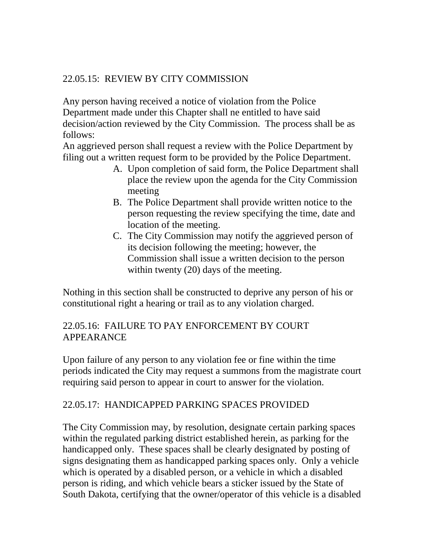## 22.05.15: REVIEW BY CITY COMMISSION

Any person having received a notice of violation from the Police Department made under this Chapter shall ne entitled to have said decision/action reviewed by the City Commission. The process shall be as follows:

An aggrieved person shall request a review with the Police Department by filing out a written request form to be provided by the Police Department.

- A. Upon completion of said form, the Police Department shall place the review upon the agenda for the City Commission meeting
- B. The Police Department shall provide written notice to the person requesting the review specifying the time, date and location of the meeting.
- C. The City Commission may notify the aggrieved person of its decision following the meeting; however, the Commission shall issue a written decision to the person within twenty (20) days of the meeting.

Nothing in this section shall be constructed to deprive any person of his or constitutional right a hearing or trail as to any violation charged.

### 22.05.16: FAILURE TO PAY ENFORCEMENT BY COURT APPEARANCE

Upon failure of any person to any violation fee or fine within the time periods indicated the City may request a summons from the magistrate court requiring said person to appear in court to answer for the violation.

### 22.05.17: HANDICAPPED PARKING SPACES PROVIDED

The City Commission may, by resolution, designate certain parking spaces within the regulated parking district established herein, as parking for the handicapped only. These spaces shall be clearly designated by posting of signs designating them as handicapped parking spaces only. Only a vehicle which is operated by a disabled person, or a vehicle in which a disabled person is riding, and which vehicle bears a sticker issued by the State of South Dakota, certifying that the owner/operator of this vehicle is a disabled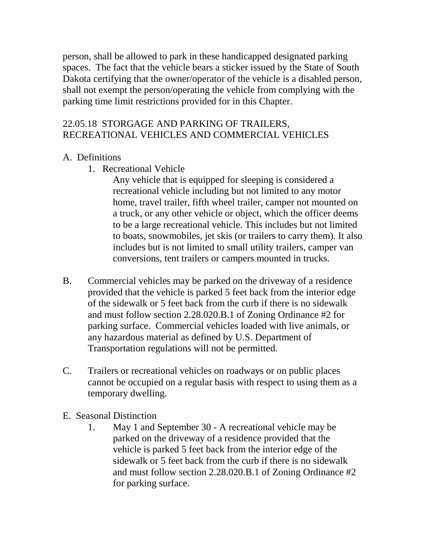person, shall be allowed to park in these handicapped designated parking spaces. The fact that the vehicle bears a sticker issued by the State of South Dakota certifying that the owner/operator of the vehicle is a disabled person, shall not exempt the person/operating the vehicle from complying with the parking time limit restrictions provided for in this Chapter.

#### 22.05.18 STORGAGE AND PARKING OF TRAILERS, RECREATIONAL VEHICLES AND COMMERCIAL VEHICLES

#### A. Definitions

1. Recreational Vehicle

Any vehicle that is equipped for sleeping is considered a recreational vehicle including but not limited to any motor home, travel trailer, fifth wheel trailer, camper not mounted on a truck, or any other vehicle or object, which the officer deems to be a large recreational vehicle. This includes but not limited to boats, snowmobiles, jet skis (or trailers to carry them). It also includes but is not limited to small utility trailers, camper van conversions, tent trailers or campers mounted in trucks.

- B. Commercial vehicles may be parked on the driveway of a residence provided that the vehicle is parked 5 feet back from the interior edge of the sidewalk or 5 feet back from the curb if there is no sidewalk and must follow section 2.28.020.B.1 of Zoning Ordinance #2 for parking surface. Commercial vehicles loaded with live animals, or any hazardous material as defined by U.S. Department of Transportation regulations will not be permitted.
- C. Trailers or recreational vehicles on roadways or on public places cannot be occupied on a regular basis with respect to using them as a temporary dwelling.
- E. Seasonal Distinction
	- 1. May 1 and September 30 A recreational vehicle may be parked on the driveway of a residence provided that the vehicle is parked 5 feet back from the interior edge of the sidewalk or 5 feet back from the curb if there is no sidewalk and must follow section 2.28.020.B.1 of Zoning Ordinance #2 for parking surface.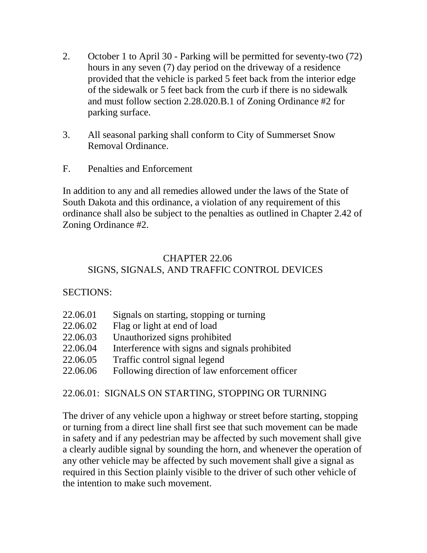- 2. October 1 to April 30 Parking will be permitted for seventy-two (72) hours in any seven (7) day period on the driveway of a residence provided that the vehicle is parked 5 feet back from the interior edge of the sidewalk or 5 feet back from the curb if there is no sidewalk and must follow section 2.28.020.B.1 of Zoning Ordinance #2 for parking surface.
- 3. All seasonal parking shall conform to City of Summerset Snow Removal Ordinance.
- F. Penalties and Enforcement

In addition to any and all remedies allowed under the laws of the State of South Dakota and this ordinance, a violation of any requirement of this ordinance shall also be subject to the penalties as outlined in Chapter 2.42 of Zoning Ordinance #2.

## CHAPTER 22.06 SIGNS, SIGNALS, AND TRAFFIC CONTROL DEVICES

### SECTIONS:

| 22.06.01 | Signals on starting, stopping or turning       |
|----------|------------------------------------------------|
| 22.06.02 | Flag or light at end of load                   |
| 22.06.03 | Unauthorized signs prohibited                  |
| 22.06.04 | Interference with signs and signals prohibited |
| 22.06.05 | Traffic control signal legend                  |
| 22.06.06 | Following direction of law enforcement officer |
|          |                                                |

### 22.06.01: SIGNALS ON STARTING, STOPPING OR TURNING

The driver of any vehicle upon a highway or street before starting, stopping or turning from a direct line shall first see that such movement can be made in safety and if any pedestrian may be affected by such movement shall give a clearly audible signal by sounding the horn, and whenever the operation of any other vehicle may be affected by such movement shall give a signal as required in this Section plainly visible to the driver of such other vehicle of the intention to make such movement.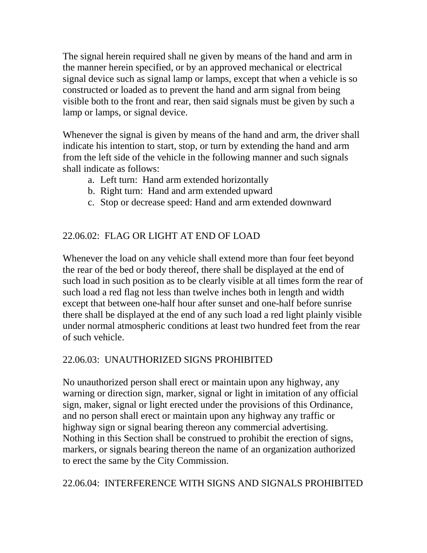The signal herein required shall ne given by means of the hand and arm in the manner herein specified, or by an approved mechanical or electrical signal device such as signal lamp or lamps, except that when a vehicle is so constructed or loaded as to prevent the hand and arm signal from being visible both to the front and rear, then said signals must be given by such a lamp or lamps, or signal device.

Whenever the signal is given by means of the hand and arm, the driver shall indicate his intention to start, stop, or turn by extending the hand and arm from the left side of the vehicle in the following manner and such signals shall indicate as follows:

- a. Left turn: Hand arm extended horizontally
- b. Right turn: Hand and arm extended upward
- c. Stop or decrease speed: Hand and arm extended downward

# 22.06.02: FLAG OR LIGHT AT END OF LOAD

Whenever the load on any vehicle shall extend more than four feet beyond the rear of the bed or body thereof, there shall be displayed at the end of such load in such position as to be clearly visible at all times form the rear of such load a red flag not less than twelve inches both in length and width except that between one-half hour after sunset and one-half before sunrise there shall be displayed at the end of any such load a red light plainly visible under normal atmospheric conditions at least two hundred feet from the rear of such vehicle.

### 22.06.03: UNAUTHORIZED SIGNS PROHIBITED

No unauthorized person shall erect or maintain upon any highway, any warning or direction sign, marker, signal or light in imitation of any official sign, maker, signal or light erected under the provisions of this Ordinance, and no person shall erect or maintain upon any highway any traffic or highway sign or signal bearing thereon any commercial advertising. Nothing in this Section shall be construed to prohibit the erection of signs, markers, or signals bearing thereon the name of an organization authorized to erect the same by the City Commission.

# 22.06.04: INTERFERENCE WITH SIGNS AND SIGNALS PROHIBITED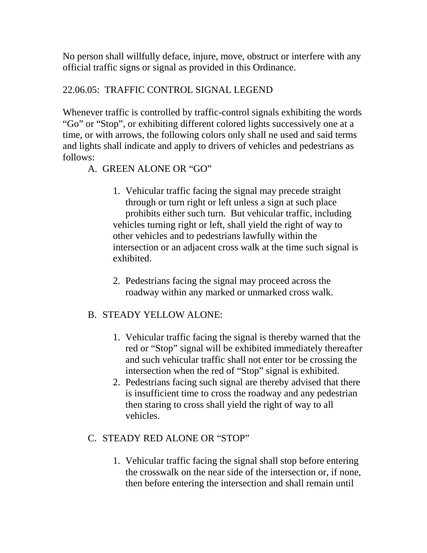No person shall willfully deface, injure, move, obstruct or interfere with any official traffic signs or signal as provided in this Ordinance.

## 22.06.05: TRAFFIC CONTROL SIGNAL LEGEND

Whenever traffic is controlled by traffic-control signals exhibiting the words "Go" or "Stop", or exhibiting different colored lights successively one at a time, or with arrows, the following colors only shall ne used and said terms and lights shall indicate and apply to drivers of vehicles and pedestrians as follows:

# A. GREEN ALONE OR "GO"

- 1. Vehicular traffic facing the signal may precede straight through or turn right or left unless a sign at such place prohibits either such turn. But vehicular traffic, including vehicles turning right or left, shall yield the right of way to other vehicles and to pedestrians lawfully within the intersection or an adjacent cross walk at the time such signal is exhibited.
- 2. Pedestrians facing the signal may proceed across the roadway within any marked or unmarked cross walk.

### B. STEADY YELLOW ALONE:

- 1. Vehicular traffic facing the signal is thereby warned that the red or "Stop" signal will be exhibited immediately thereafter and such vehicular traffic shall not enter tor be crossing the intersection when the red of "Stop" signal is exhibited.
- 2. Pedestrians facing such signal are thereby advised that there is insufficient time to cross the roadway and any pedestrian then staring to cross shall yield the right of way to all vehicles.

### C. STEADY RED ALONE OR "STOP"

1. Vehicular traffic facing the signal shall stop before entering the crosswalk on the near side of the intersection or, if none, then before entering the intersection and shall remain until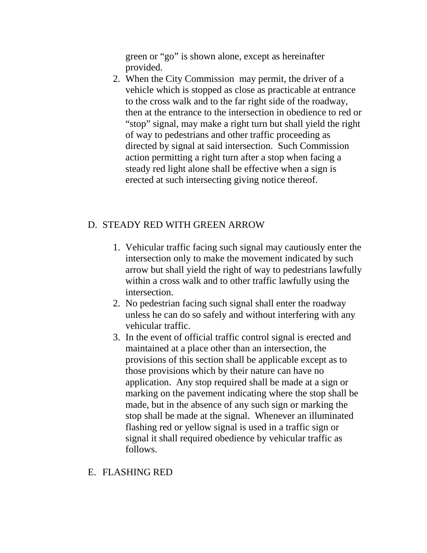green or "go" is shown alone, except as hereinafter provided.

2. When the City Commission may permit, the driver of a vehicle which is stopped as close as practicable at entrance to the cross walk and to the far right side of the roadway, then at the entrance to the intersection in obedience to red or "stop" signal, may make a right turn but shall yield the right of way to pedestrians and other traffic proceeding as directed by signal at said intersection. Such Commission action permitting a right turn after a stop when facing a steady red light alone shall be effective when a sign is erected at such intersecting giving notice thereof.

### D. STEADY RED WITH GREEN ARROW

- 1. Vehicular traffic facing such signal may cautiously enter the intersection only to make the movement indicated by such arrow but shall yield the right of way to pedestrians lawfully within a cross walk and to other traffic lawfully using the intersection.
- 2. No pedestrian facing such signal shall enter the roadway unless he can do so safely and without interfering with any vehicular traffic.
- 3. In the event of official traffic control signal is erected and maintained at a place other than an intersection, the provisions of this section shall be applicable except as to those provisions which by their nature can have no application. Any stop required shall be made at a sign or marking on the pavement indicating where the stop shall be made, but in the absence of any such sign or marking the stop shall be made at the signal. Whenever an illuminated flashing red or yellow signal is used in a traffic sign or signal it shall required obedience by vehicular traffic as follows.

#### E. FLASHING RED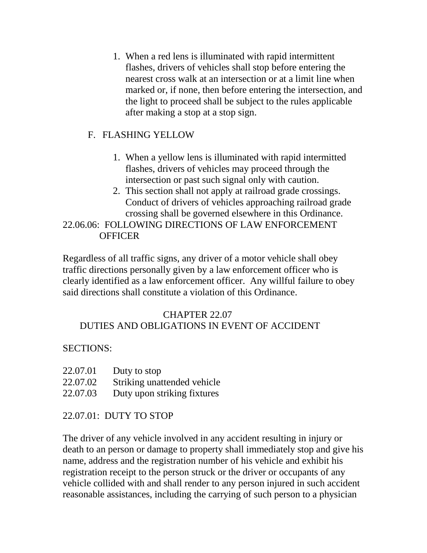1. When a red lens is illuminated with rapid intermittent flashes, drivers of vehicles shall stop before entering the nearest cross walk at an intersection or at a limit line when marked or, if none, then before entering the intersection, and the light to proceed shall be subject to the rules applicable after making a stop at a stop sign.

# F. FLASHING YELLOW

- 1. When a yellow lens is illuminated with rapid intermitted flashes, drivers of vehicles may proceed through the intersection or past such signal only with caution.
- 2. This section shall not apply at railroad grade crossings. Conduct of drivers of vehicles approaching railroad grade crossing shall be governed elsewhere in this Ordinance.

# 22.06.06: FOLLOWING DIRECTIONS OF LAW ENFORCEMENT **OFFICER**

Regardless of all traffic signs, any driver of a motor vehicle shall obey traffic directions personally given by a law enforcement officer who is clearly identified as a law enforcement officer. Any willful failure to obey said directions shall constitute a violation of this Ordinance.

#### CHAPTER 22.07 DUTIES AND OBLIGATIONS IN EVENT OF ACCIDENT

### SECTIONS:

| 22.07.01 | Duty to stop           |
|----------|------------------------|
| 22.07.02 | $Qtrilzino$ unottonded |

- 22.07.02 Striking unattended vehicle
- 22.07.03 Duty upon striking fixtures

# 22.07.01: DUTY TO STOP

The driver of any vehicle involved in any accident resulting in injury or death to an person or damage to property shall immediately stop and give his name, address and the registration number of his vehicle and exhibit his registration receipt to the person struck or the driver or occupants of any vehicle collided with and shall render to any person injured in such accident reasonable assistances, including the carrying of such person to a physician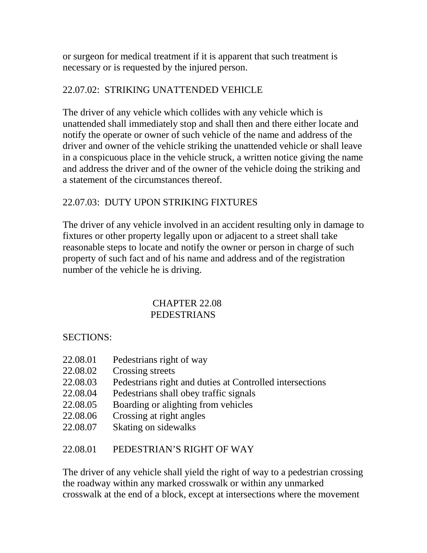or surgeon for medical treatment if it is apparent that such treatment is necessary or is requested by the injured person.

### 22.07.02: STRIKING UNATTENDED VEHICLE

The driver of any vehicle which collides with any vehicle which is unattended shall immediately stop and shall then and there either locate and notify the operate or owner of such vehicle of the name and address of the driver and owner of the vehicle striking the unattended vehicle or shall leave in a conspicuous place in the vehicle struck, a written notice giving the name and address the driver and of the owner of the vehicle doing the striking and a statement of the circumstances thereof.

### 22.07.03: DUTY UPON STRIKING FIXTURES

The driver of any vehicle involved in an accident resulting only in damage to fixtures or other property legally upon or adjacent to a street shall take reasonable steps to locate and notify the owner or person in charge of such property of such fact and of his name and address and of the registration number of the vehicle he is driving.

#### CHAPTER 22.08 PEDESTRIANS

#### SECTIONS:

- 22.08.01 Pedestrians right of way
- 22.08.02 Crossing streets
- 22.08.03 Pedestrians right and duties at Controlled intersections
- 22.08.04 Pedestrians shall obey traffic signals
- 22.08.05 Boarding or alighting from vehicles
- 22.08.06 Crossing at right angles
- 22.08.07 Skating on sidewalks

### 22.08.01 PEDESTRIAN'S RIGHT OF WAY

The driver of any vehicle shall yield the right of way to a pedestrian crossing the roadway within any marked crosswalk or within any unmarked crosswalk at the end of a block, except at intersections where the movement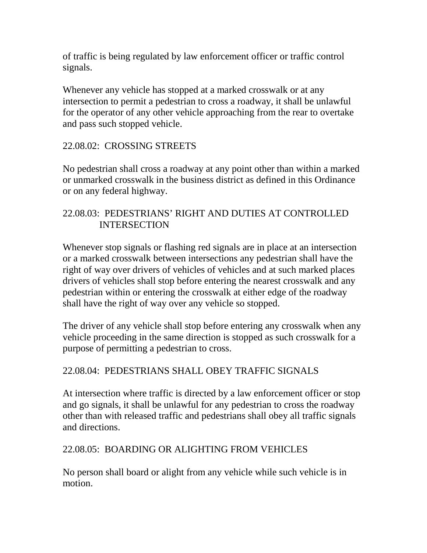of traffic is being regulated by law enforcement officer or traffic control signals.

Whenever any vehicle has stopped at a marked crosswalk or at any intersection to permit a pedestrian to cross a roadway, it shall be unlawful for the operator of any other vehicle approaching from the rear to overtake and pass such stopped vehicle.

#### 22.08.02: CROSSING STREETS

No pedestrian shall cross a roadway at any point other than within a marked or unmarked crosswalk in the business district as defined in this Ordinance or on any federal highway.

#### 22.08.03: PEDESTRIANS' RIGHT AND DUTIES AT CONTROLLED INTERSECTION

Whenever stop signals or flashing red signals are in place at an intersection or a marked crosswalk between intersections any pedestrian shall have the right of way over drivers of vehicles of vehicles and at such marked places drivers of vehicles shall stop before entering the nearest crosswalk and any pedestrian within or entering the crosswalk at either edge of the roadway shall have the right of way over any vehicle so stopped.

The driver of any vehicle shall stop before entering any crosswalk when any vehicle proceeding in the same direction is stopped as such crosswalk for a purpose of permitting a pedestrian to cross.

#### 22.08.04: PEDESTRIANS SHALL OBEY TRAFFIC SIGNALS

At intersection where traffic is directed by a law enforcement officer or stop and go signals, it shall be unlawful for any pedestrian to cross the roadway other than with released traffic and pedestrians shall obey all traffic signals and directions.

#### 22.08.05: BOARDING OR ALIGHTING FROM VEHICLES

No person shall board or alight from any vehicle while such vehicle is in motion.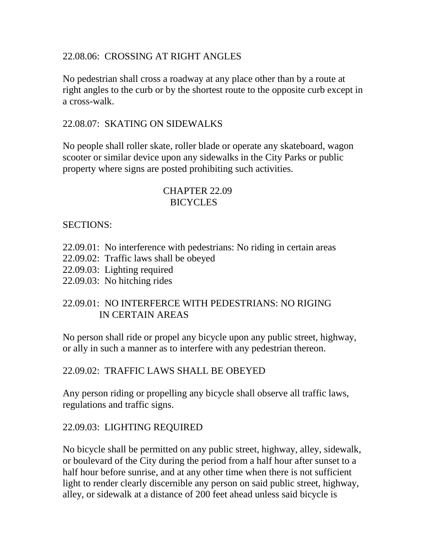#### 22.08.06: CROSSING AT RIGHT ANGLES

No pedestrian shall cross a roadway at any place other than by a route at right angles to the curb or by the shortest route to the opposite curb except in a cross-walk.

#### 22.08.07: SKATING ON SIDEWALKS

No people shall roller skate, roller blade or operate any skateboard, wagon scooter or similar device upon any sidewalks in the City Parks or public property where signs are posted prohibiting such activities.

#### CHAPTER 22.09 BICYCLES

#### SECTIONS:

- 22.09.01: No interference with pedestrians: No riding in certain areas
- 22.09.02: Traffic laws shall be obeyed
- 22.09.03: Lighting required
- 22.09.03: No hitching rides

#### 22.09.01: NO INTERFERCE WITH PEDESTRIANS: NO RIGING IN CERTAIN AREAS

No person shall ride or propel any bicycle upon any public street, highway, or ally in such a manner as to interfere with any pedestrian thereon.

#### 22.09.02: TRAFFIC LAWS SHALL BE OBEYED

Any person riding or propelling any bicycle shall observe all traffic laws, regulations and traffic signs.

#### 22.09.03: LIGHTING REQUIRED

No bicycle shall be permitted on any public street, highway, alley, sidewalk, or boulevard of the City during the period from a half hour after sunset to a half hour before sunrise, and at any other time when there is not sufficient light to render clearly discernible any person on said public street, highway, alley, or sidewalk at a distance of 200 feet ahead unless said bicycle is